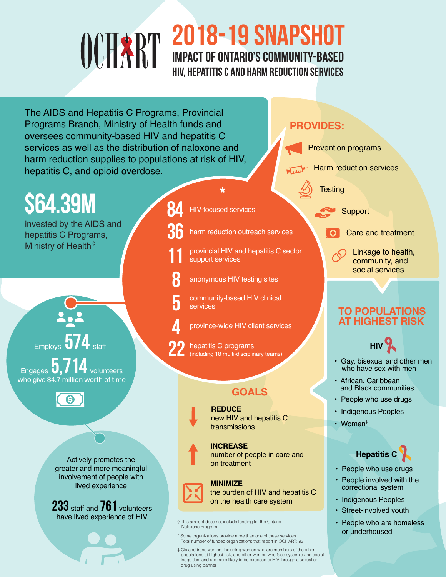### 2018-19 snapshot Impact of Ontario's community-based HIV, hepatitis C and harm reduction services

The AIDS and Hepatitis C Programs, Provincial Programs Branch, Ministry of Health funds and oversees community-based HIV and hepatitis C services as well as the distribution of naloxone and harm reduction supplies to populations at risk of HIV, hepatitis C, and opioid overdose.

#### **PROVIDES:**

Prevention programs

Harm reduction services

**Testing** 

**Support** 

Care and treatment

Linkage to health, community, and social services

#### **TO POPULATIONS AT HIGHEST RISK**



- Gay, bisexual and other men who have sex with men
- African, Caribbean and Black communities
- People who use drugs
- Indigenous Peoples
- Women‡

#### **Hepatitis C**

- People who use drugs
- People involved with the correctional system
- Indigenous Peoples
- Street-involved youth
- People who are homeless or underhoused

## **\$64.39M**

invested by the AIDS and hepatitis C Programs, Ministry of Health $\circ$ 

Employs

Engages **U, / 14** volunteers who give \$4.7 million worth of time

 $\overline{\Theta}$ 

Actively promotes the greater and more meaningful involvement of people with lived experience

233 staff and 761 volunteers have lived experience of HIV





provincial HIV and hepatitis C sector support services



5

**REDUCE** new HIV and hepatitis C transmissions

**INCREASE** number of people in care and on treatment

#### **MINIMIZE**

the burden of HIV and hepatitis C on the health care system

- $\Diamond$  This amount does not include funding for the Ontario Naloxone Program.
- \* Some organizations provide more than one of these services.<br>Total number of funded organizations that report in OCHART: 93.

 $\ddagger$  Cis and trans women, including women who are members of the other populations at highest risk, and other women who face systemic and social inequities, and are more likely to be exposed to HIV through a sexual or drug using partner.

community-based HIV clinical services province-wide HIV client services

**HIV-focused services** 

hepatitis C programs (including 18 multi-disciplinary teams)

anonymous HIV testing sites

#### **GOALS**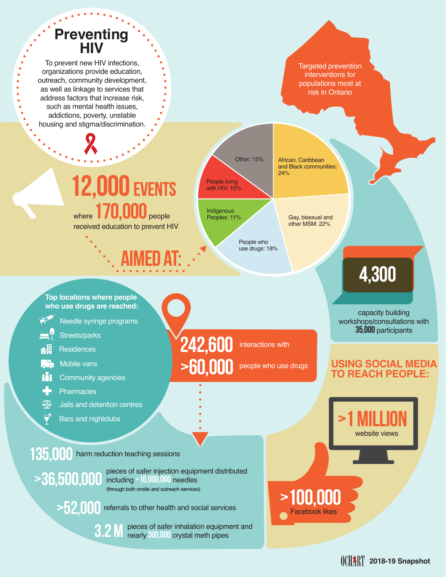## **Preventing HIV**

To prevent new HIV infections, organizations provide education, outreach, community development, as well as linkage to services that address factors that increase risk. such as mental health issues, addictions, poverty, unstable housing and stigma/discrimination.

Targeted prevention interventions for populations most at risk in Ontario

## **12,000 EVENTS** where 170,000 people

received education to prevent HIV

aimed at:

People living with HIV: 10%

Other: 15%

**Indigenous** Peoples: 11%

> People who use drugs: 18%

interactions with

>60,000 people who use drugs

242,600

African, Caribbean and Black communities: 24%

> Gay, bisexual and other MSM: 22%

>100,000 Facebook likes

## 4,300

capacity building workshops/consultations with **35,000** participants

#### **USING SOCIAL MEDIA TO REACH PEOPLE:**

website views

**2018-19 Snapshot**

>1 million

**Top locations where people who use drugs are reached:**

- Needle syringe programs
- Streets/parks
- 48 **Residences**
- Mobile vans
- የ ነገ Community agencies
- **Pharmacies**
- 4⊵ Jails and detention centres
	- Bars and nightclubs

135,000 harm reduction teaching sessions

pieces of safer injection equipment distributed >36,500,000 pleces of safer injection equip (through both onsite and outreach services)

>52,000 referrals to other health and social services

pieces of safer inhalation equipment and nearly **300,000** crystal meth pipes 3.2 m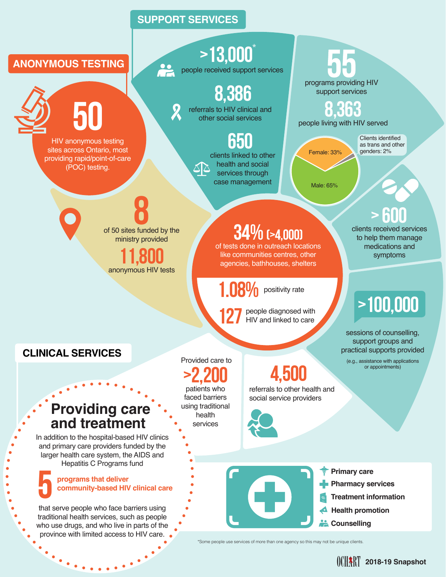#### **SUPPORT SERVICES**



\*Some people use services of more than one agency so this may not be unique clients.